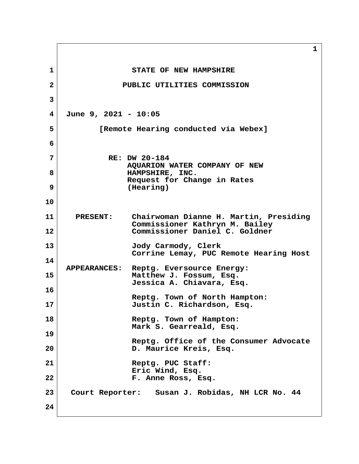**1 1** STATE OF NEW HAMPSHIRE  **2 PUBLIC UTILITIES COMMISSION 3 4 June 9, 2021 - 10:05 5 [Remote Hearing conducted via Webex] 6 7 RE: DW 20-184 AQUARION WATER COMPANY OF NEW** 8 **HAMPSHIRE, INC. Request for Change in Rates 9 (Hearing) 10 11 PRESENT: Chairwoman Dianne H. Martin, Presiding Commissioner Kathryn M. Bailey 12 Commissioner Daniel C. Goldner 13 Jody Carmody, Clerk Corrine Lemay, PUC Remote Hearing Host 14 APPEARANCES: Reptg. Eversource Energy: 15 Matthew J. Fossum, Esq. Jessica A. Chiavara, Esq. 16 Reptg. Town of North Hampton: 17 Justin C. Richardson, Esq. 18 Reptg. Town of Hampton: Mark S. Gearreald, Esq. 19 Reptg. Office of the Consumer Advocate 20 D. Maurice Kreis, Esq. 21 Reptg. PUC Staff: Eric Wind, Esq. 22 F. Anne Ross, Esq. 23 Court Reporter: Susan J. Robidas, NH LCR No. 44 24**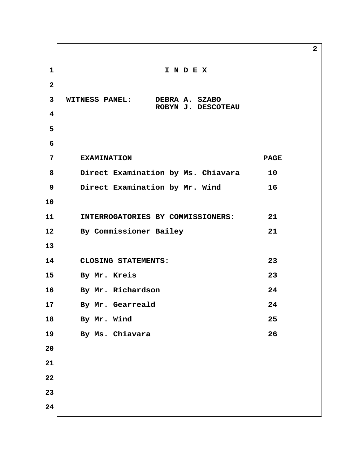**1 I N D E X 2 3 WITNESS PANEL: DEBRA A. SZABO ROBYN J. DESCOTEAU 4 5 6 7 EXAMINATION PAGE 8 Direct Examination by Ms. Chiavara 10 9 Direct Examination by Mr. Wind 16 10 11 INTERROGATORIES BY COMMISSIONERS: 21 12 By Commissioner Bailey 21 13 14 CLOSING STATEMENTS: 23 15 By Mr. Kreis 23 16 By Mr. Richardson 24 17 By Mr. Gearreald 24 18 By Mr. Wind 25 19 By Ms. Chiavara 26 20 21 22 23 24**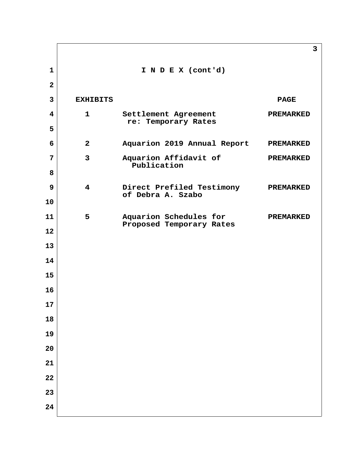|                         |                         |                                                    | 3                |
|-------------------------|-------------------------|----------------------------------------------------|------------------|
| $\mathbf{1}$            |                         | I N D E X (cont'd)                                 |                  |
| $\mathbf{2}$            |                         |                                                    |                  |
| $\mathbf{3}$            | <b>EXHIBITS</b>         |                                                    | <b>PAGE</b>      |
| $\overline{\mathbf{4}}$ | $\mathbf{1}$            | Settlement Agreement<br>re: Temporary Rates        | <b>PREMARKED</b> |
| 5                       |                         |                                                    |                  |
| 6                       | $\mathbf{2}$            | Aquarion 2019 Annual Report                        | <b>PREMARKED</b> |
| $\overline{7}$          | $\mathbf{3}$            | Aquarion Affidavit of<br>Publication               | <b>PREMARKED</b> |
| 8                       |                         |                                                    |                  |
| 9                       | $\overline{\mathbf{4}}$ | Direct Prefiled Testimony<br>of Debra A. Szabo     | <b>PREMARKED</b> |
| 10                      |                         |                                                    |                  |
| 11                      | 5                       | Aquarion Schedules for<br>Proposed Temporary Rates | <b>PREMARKED</b> |
| 12                      |                         |                                                    |                  |
| 13                      |                         |                                                    |                  |
| 14                      |                         |                                                    |                  |
| 15                      |                         |                                                    |                  |
| 16                      |                         |                                                    |                  |
| 17<br>18                |                         |                                                    |                  |
| 19                      |                         |                                                    |                  |
| 20                      |                         |                                                    |                  |
| 21                      |                         |                                                    |                  |
| 22                      |                         |                                                    |                  |
| 23                      |                         |                                                    |                  |
| 24                      |                         |                                                    |                  |
|                         |                         |                                                    |                  |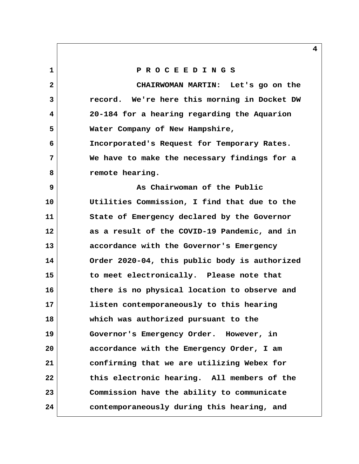**1 P R O C E E D I N G S 2 CHAIRWOMAN MARTIN: Let's go on the 3 record. We're here this morning in Docket DW 4 20-184 for a hearing regarding the Aquarion 5 Water Company of New Hampshire, 6 Incorporated's Request for Temporary Rates. 7 We have to make the necessary findings for a** 8 **remote hearing. 9 As Chairwoman of the Public 10 Utilities Commission, I find that due to the 11 State of Emergency declared by the Governor 12 as a result of the COVID-19 Pandemic, and in 13 accordance with the Governor's Emergency 14 Order 2020-04, this public body is authorized 15 to meet electronically. Please note that 16 there is no physical location to observe and 17 listen contemporaneously to this hearing 18 which was authorized pursuant to the 19 Governor's Emergency Order. However, in 20 accordance with the Emergency Order, I am 21 confirming that we are utilizing Webex for 22 this electronic hearing. All members of the 23 Commission have the ability to communicate 24 contemporaneously during this hearing, and**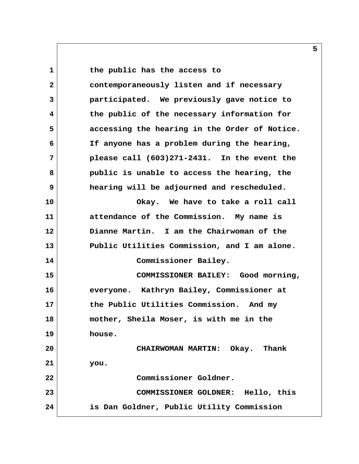**1 the public has the access to 2 contemporaneously listen and if necessary 3 participated. We previously gave notice to 4 the public of the necessary information for 5 accessing the hearing in the Order of Notice. 6 If anyone has a problem during the hearing, 7 please call (603)271-2431. In the event the 8 public is unable to access the hearing, the 9 hearing will be adjourned and rescheduled. 10 Okay. We have to take a roll call 11 attendance of the Commission. My name is 12 Dianne Martin. I am the Chairwoman of the 13 Public Utilities Commission, and I am alone. 14 Commissioner Bailey. 15 COMMISSIONER BAILEY: Good morning, 16 everyone. Kathryn Bailey, Commissioner at 17 the Public Utilities Commission. And my 18 mother, Sheila Moser, is with me in the 19 house. 20 CHAIRWOMAN MARTIN: Okay. Thank 21 you. 22 Commissioner Goldner. 23 COMMISSIONER GOLDNER: Hello, this 24 is Dan Goldner, Public Utility Commission**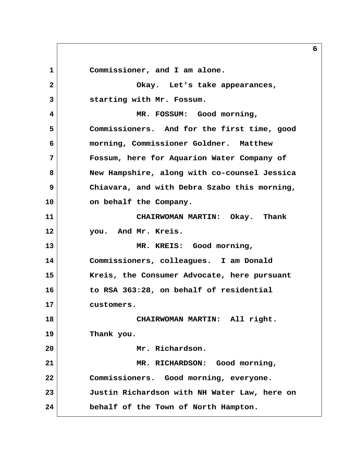1 Commissioner, and I am alone.  **2 Okay. Let's take appearances, 3 starting with Mr. Fossum. 4 MR. FOSSUM: Good morning, 5 Commissioners. And for the first time, good 6 morning, Commissioner Goldner. Matthew 7 Fossum, here for Aquarion Water Company of 8 New Hampshire, along with co-counsel Jessica 9 Chiavara, and with Debra Szabo this morning, 10 on behalf the Company. 11 CHAIRWOMAN MARTIN: Okay. Thank 12 you. And Mr. Kreis. 13 MR. KREIS: Good morning, 14 Commissioners, colleagues. I am Donald 15 Kreis, the Consumer Advocate, here pursuant 16 to RSA 363:28, on behalf of residential 17 customers. 18 CHAIRWOMAN MARTIN: All right. 19 Thank you. 20 Mr. Richardson. 21 MR. RICHARDSON: Good morning, 22 Commissioners. Good morning, everyone. 23 Justin Richardson with NH Water Law, here on 24 behalf of the Town of North Hampton.**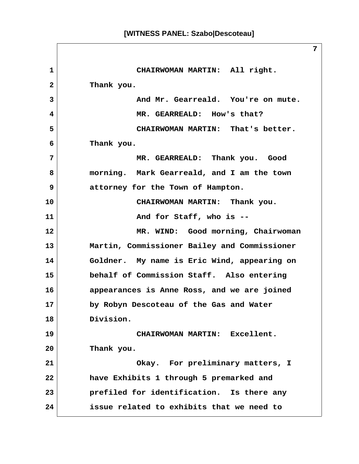**1 CHAIRWOMAN MARTIN: All right. 2 Thank you. 3 And Mr. Gearreald. You're on mute. 4 MR. GEARREALD: How's that? 5 CHAIRWOMAN MARTIN: That's better. 6 Thank you. 7 MR. GEARREALD: Thank you. Good 8 morning. Mark Gearreald, and I am the town 9 attorney for the Town of Hampton. 10 CHAIRWOMAN MARTIN: Thank you. 11** And for Staff, who is --**12 MR. WIND: Good morning, Chairwoman 13 Martin, Commissioner Bailey and Commissioner 14 Goldner. My name is Eric Wind, appearing on 15 behalf of Commission Staff. Also entering 16 appearances is Anne Ross, and we are joined 17 by Robyn Descoteau of the Gas and Water 18 Division. 19 CHAIRWOMAN MARTIN: Excellent. 20 Thank you. 21 Okay. For preliminary matters, I 22 have Exhibits 1 through 5 premarked and 23 prefiled for identification. Is there any 24 issue related to exhibits that we need to**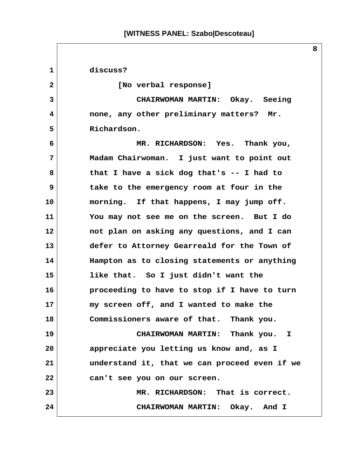**1 discuss? 2 [No verbal response] 3 CHAIRWOMAN MARTIN: Okay. Seeing 4 none, any other preliminary matters? Mr. 5 Richardson. 6 MR. RICHARDSON: Yes. Thank you, 7 Madam Chairwoman. I just want to point out 8 that I have a sick dog that's -- I had to 9 take to the emergency room at four in the 10 morning. If that happens, I may jump off. 11 You may not see me on the screen. But I do 12 not plan on asking any questions, and I can 13 defer to Attorney Gearreald for the Town of 14 Hampton as to closing statements or anything 15 like that. So I just didn't want the 16 proceeding to have to stop if I have to turn 17 my screen off, and I wanted to make the 18 Commissioners aware of that. Thank you. 19 CHAIRWOMAN MARTIN: Thank you. I 20 appreciate you letting us know and, as I 21 understand it, that we can proceed even if we 22 can't see you on our screen. 23 MR. RICHARDSON: That is correct. 24 CHAIRWOMAN MARTIN: Okay. And I**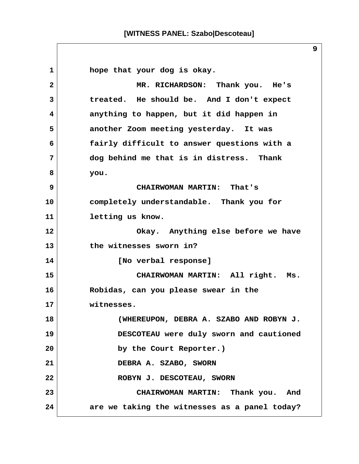1 **hope that your dog is okay. 2 MR. RICHARDSON: Thank you. He's 3 treated. He should be. And I don't expect 4 anything to happen, but it did happen in 5 another Zoom meeting yesterday. It was 6 fairly difficult to answer questions with a 7 dog behind me that is in distress. Thank 8 you. 9 CHAIRWOMAN MARTIN: That's 10 completely understandable. Thank you for 11 letting us know. 12 Okay. Anything else before we have 13 the witnesses sworn in? 14 [No verbal response] 15 CHAIRWOMAN MARTIN: All right. Ms. 16 Robidas, can you please swear in the 17 witnesses. 18 (WHEREUPON, DEBRA A. SZABO AND ROBYN J. 19 DESCOTEAU were duly sworn and cautioned 20 by the Court Reporter.) 21 DEBRA A. SZABO, SWORN** 22 ROBYN J. DESCOTEAU, SWORN **23 CHAIRWOMAN MARTIN: Thank you. And 24 are we taking the witnesses as a panel today?**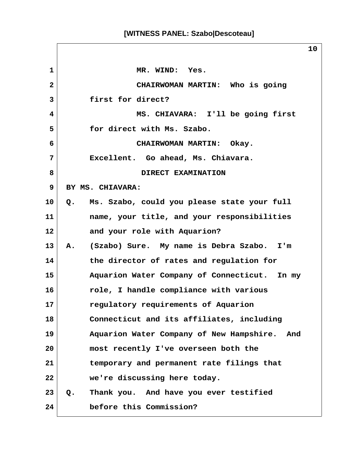1 MR. WIND: Yes.  **2 CHAIRWOMAN MARTIN: Who is going 3 first for direct? 4 MS. CHIAVARA: I'll be going first 5 for direct with Ms. Szabo. 6 CHAIRWOMAN MARTIN: Okay. 7 Excellent. Go ahead, Ms. Chiavara.** 8 DIRECT EXAMINATION  **9 BY MS. CHIAVARA: 10 Q. Ms. Szabo, could you please state your full 11 name, your title, and your responsibilities 12 and your role with Aquarion? 13 A. (Szabo) Sure. My name is Debra Szabo. I'm 14 the director of rates and regulation for 15 Aquarion Water Company of Connecticut. In my 16 role, I handle compliance with various 17 regulatory requirements of Aquarion 18 Connecticut and its affiliates, including 19 Aquarion Water Company of New Hampshire. And 20 most recently I've overseen both the 21 temporary and permanent rate filings that 22 we're discussing here today. 23 Q. Thank you. And have you ever testified 24 before this Commission?**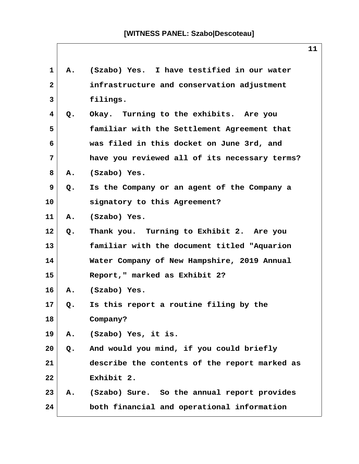| 1            | $\mathbf{A}_{\bullet}$ | (Szabo) Yes. I have testified in our water     |
|--------------|------------------------|------------------------------------------------|
| $\mathbf{2}$ |                        | infrastructure and conservation adjustment     |
| 3            |                        | filings.                                       |
| 4            | Q.                     | Okay. Turning to the exhibits. Are you         |
| 5            |                        | familiar with the Settlement Agreement that    |
| 6            |                        | was filed in this docket on June 3rd, and      |
| 7            |                        | have you reviewed all of its necessary terms?  |
| 8            | Α.                     | (Szabo) Yes.                                   |
| 9            | Q.                     | Is the Company or an agent of the Company a    |
| 10           |                        | signatory to this Agreement?                   |
| 11           |                        | A. (Szabo) Yes.                                |
| 12           | Q.                     | Thank you. Turning to Exhibit 2. Are you       |
| 13           |                        | familiar with the document titled "Aquarion    |
| 14           |                        | Water Company of New Hampshire, 2019 Annual    |
| 15           |                        | Report," marked as Exhibit 2?                  |
| 16           | А.                     | (Szabo) Yes.                                   |
| 17           | Q.                     | Is this report a routine filing by the         |
| 18           |                        | Company?                                       |
| 19           | Α.                     | (Szabo) Yes, it is.                            |
| 20           | Q.                     | And would you mind, if you could briefly       |
| 21           |                        | describe the contents of the report marked as  |
| 22           |                        | Exhibit 2.                                     |
| 23           |                        | A. (Szabo) Sure. So the annual report provides |
| 24           |                        | both financial and operational information     |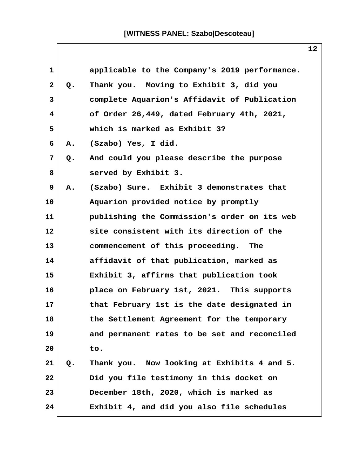| 1            |                | applicable to the Company's 2019 performance. |  |
|--------------|----------------|-----------------------------------------------|--|
| $\mathbf{2}$ | Q.             | Thank you. Moving to Exhibit 3, did you       |  |
| 3            |                | complete Aquarion's Affidavit of Publication  |  |
| 4            |                | of Order 26,449, dated February 4th, 2021,    |  |
| 5            |                | which is marked as Exhibit 3?                 |  |
| 6            | Α.             | (Szabo) Yes, I did.                           |  |
| 7            | Q.             | And could you please describe the purpose     |  |
| 8            |                | served by Exhibit 3.                          |  |
| 9            | Α.             | (Szabo) Sure. Exhibit 3 demonstrates that     |  |
| 10           |                | Aquarion provided notice by promptly          |  |
| 11           |                | publishing the Commission's order on its web  |  |
| 12           |                | site consistent with its direction of the     |  |
| 13           |                | commencement of this proceeding. The          |  |
| 14           |                | affidavit of that publication, marked as      |  |
| 15           |                | Exhibit 3, affirms that publication took      |  |
| 16           |                | place on February 1st, 2021. This supports    |  |
| 17           |                | that February 1st is the date designated in   |  |
| 18           |                | the Settlement Agreement for the temporary    |  |
| 19           |                | and permanent rates to be set and reconciled  |  |
| 20           |                | to.                                           |  |
| 21           | Q <sub>o</sub> | Thank you. Now looking at Exhibits 4 and 5.   |  |
| 22           |                | Did you file testimony in this docket on      |  |
| 23           |                | December 18th, 2020, which is marked as       |  |
| 24           |                | Exhibit 4, and did you also file schedules    |  |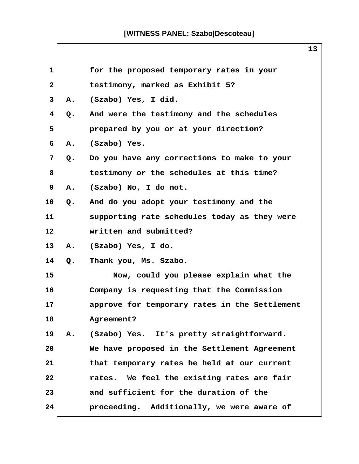| $\mathbf{1}$ |    | for the proposed temporary rates in your      |
|--------------|----|-----------------------------------------------|
| $\mathbf{2}$ |    | testimony, marked as Exhibit 5?               |
| 3            | Α. | (Szabo) Yes, I did.                           |
| 4            | Q. | And were the testimony and the schedules      |
| 5            |    | prepared by you or at your direction?         |
| 6            | Α. | (Szabo) Yes.                                  |
| 7            | Q. | Do you have any corrections to make to your   |
| 8            |    | testimony or the schedules at this time?      |
| 9            | Α. | (Szabo) No, I do not.                         |
| 10           | Q. | And do you adopt your testimony and the       |
| 11           |    | supporting rate schedules today as they were  |
| 12           |    | written and submitted?                        |
| 13           | Α. | (Szabo) Yes, I do.                            |
| 14           | Q. | Thank you, Ms. Szabo.                         |
| 15           |    | Now, could you please explain what the        |
| 16           |    | Company is requesting that the Commission     |
| 17           |    | approve for temporary rates in the Settlement |
| 18           |    | Agreement?                                    |
| 19           |    | A. (Szabo) Yes. It's pretty straightforward.  |
| 20           |    | We have proposed in the Settlement Agreement  |
| 21           |    | that temporary rates be held at our current   |
| 22           |    | rates. We feel the existing rates are fair    |
| 23           |    | and sufficient for the duration of the        |
| 24           |    | proceeding. Additionally, we were aware of    |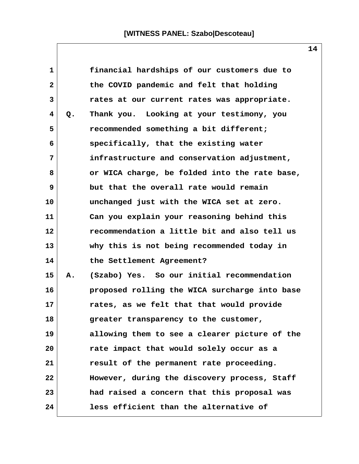| $\mathbf{1}$ |    | financial hardships of our customers due to   |  |
|--------------|----|-----------------------------------------------|--|
| $\mathbf{2}$ |    | the COVID pandemic and felt that holding      |  |
| 3            |    | rates at our current rates was appropriate.   |  |
| 4            | Q. | Thank you. Looking at your testimony, you     |  |
| 5            |    | recommended something a bit different;        |  |
| 6            |    | specifically, that the existing water         |  |
| 7            |    | infrastructure and conservation adjustment,   |  |
| 8            |    | or WICA charge, be folded into the rate base, |  |
| 9            |    | but that the overall rate would remain        |  |
| 10           |    | unchanged just with the WICA set at zero.     |  |
| 11           |    | Can you explain your reasoning behind this    |  |
| 12           |    | recommendation a little bit and also tell us  |  |
| 13           |    | why this is not being recommended today in    |  |
| 14           |    | the Settlement Agreement?                     |  |
| 15           | Α. | (Szabo) Yes. So our initial recommendation    |  |
| 16           |    | proposed rolling the WICA surcharge into base |  |
| 17           |    | rates, as we felt that that would provide     |  |
| 18           |    | greater transparency to the customer,         |  |
| 19           |    | allowing them to see a clearer picture of the |  |
| 20           |    | rate impact that would solely occur as a      |  |
| 21           |    | result of the permanent rate proceeding.      |  |
| 22           |    | However, during the discovery process, Staff  |  |
| 23           |    | had raised a concern that this proposal was   |  |
| 24           |    | less efficient than the alternative of        |  |

 $\mathsf{l}$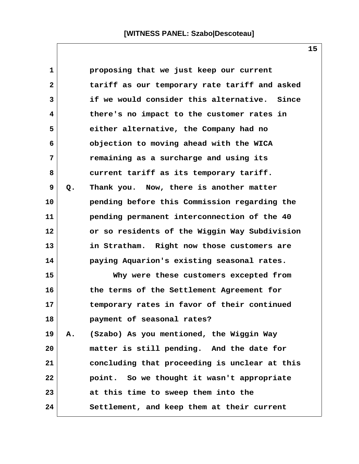| $\mathbf{1}$ |    | proposing that we just keep our current       |
|--------------|----|-----------------------------------------------|
| $\mathbf{2}$ |    | tariff as our temporary rate tariff and asked |
| 3            |    | if we would consider this alternative. Since  |
| 4            |    | there's no impact to the customer rates in    |
| 5            |    | either alternative, the Company had no        |
| 6            |    | objection to moving ahead with the WICA       |
| 7            |    | remaining as a surcharge and using its        |
| 8            |    | current tariff as its temporary tariff.       |
| 9            | Q. | Thank you. Now, there is another matter       |
| 10           |    | pending before this Commission regarding the  |
| 11           |    | pending permanent interconnection of the 40   |
| 12           |    | or so residents of the Wiggin Way Subdivision |
| 13           |    | in Stratham. Right now those customers are    |
| 14           |    | paying Aquarion's existing seasonal rates.    |
| 15           |    | Why were these customers excepted from        |
| 16           |    | the terms of the Settlement Agreement for     |
| 17           |    | temporary rates in favor of their continued   |
| 18           |    | payment of seasonal rates?                    |
| 19           | Α. | (Szabo) As you mentioned, the Wiggin Way      |
| 20           |    | matter is still pending. And the date for     |
| 21           |    | concluding that proceeding is unclear at this |
| 22           |    | point. So we thought it wasn't appropriate    |
| 23           |    | at this time to sweep them into the           |
| 24           |    | Settlement, and keep them at their current    |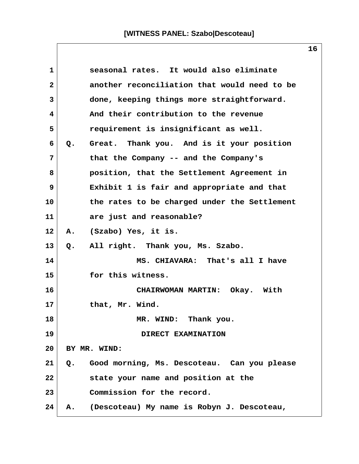| $\mathbf{1}$   | seasonal rates. It would also eliminate           |  |
|----------------|---------------------------------------------------|--|
| $\overline{2}$ | another reconciliation that would need to be      |  |
| 3              | done, keeping things more straightforward.        |  |
| 4              | And their contribution to the revenue             |  |
| 5              | requirement is insignificant as well.             |  |
| 6              | Great. Thank you. And is it your position<br>Q.   |  |
| 7              | that the Company -- and the Company's             |  |
| 8              | position, that the Settlement Agreement in        |  |
| 9              | Exhibit 1 is fair and appropriate and that        |  |
| 10             | the rates to be charged under the Settlement      |  |
| 11             | are just and reasonable?                          |  |
| 12             | (Szabo) Yes, it is.<br>A.                         |  |
| 13             | All right. Thank you, Ms. Szabo.<br>$Q_{\bullet}$ |  |
| 14             | MS. CHIAVARA: That's all I have                   |  |
| 15             | for this witness.                                 |  |
| 16             | CHAIRWOMAN MARTIN: Okay. With                     |  |
| 17             | that, Mr. Wind.                                   |  |
| 18             | MR. WIND: Thank you.                              |  |
| 19             | DIRECT EXAMINATION                                |  |
| 20             | BY MR. WIND:                                      |  |
| 21             | Good morning, Ms. Descoteau. Can you please<br>Q. |  |
| 22             | state your name and position at the               |  |
| 23             | Commission for the record.                        |  |
| 24             | (Descoteau) My name is Robyn J. Descoteau,<br>Α.  |  |

 $\mathsf{l}$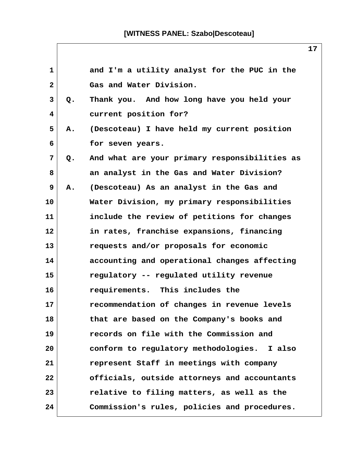| 1            |    | and I'm a utility analyst for the PUC in the  |
|--------------|----|-----------------------------------------------|
| $\mathbf{2}$ |    | Gas and Water Division.                       |
| 3            | Q. | Thank you. And how long have you held your    |
| 4            |    | current position for?                         |
| 5            | Α. | (Descoteau) I have held my current position   |
| 6            |    | for seven years.                              |
| 7            | Q. | And what are your primary responsibilities as |
| 8            |    | an analyst in the Gas and Water Division?     |
| 9            | Α. | (Descoteau) As an analyst in the Gas and      |
| 10           |    | Water Division, my primary responsibilities   |
| 11           |    | include the review of petitions for changes   |
| 12           |    | in rates, franchise expansions, financing     |
| 13           |    | requests and/or proposals for economic        |
| 14           |    | accounting and operational changes affecting  |
| 15           |    | regulatory -- regulated utility revenue       |
| 16           |    | requirements. This includes the               |
| 17           |    | recommendation of changes in revenue levels   |
| 18           |    | that are based on the Company's books and     |
| 19           |    | records on file with the Commission and       |
| 20           |    | conform to regulatory methodologies. I also   |
| 21           |    | represent Staff in meetings with company      |
| 22           |    | officials, outside attorneys and accountants  |
| 23           |    | relative to filing matters, as well as the    |
| 24           |    | Commission's rules, policies and procedures.  |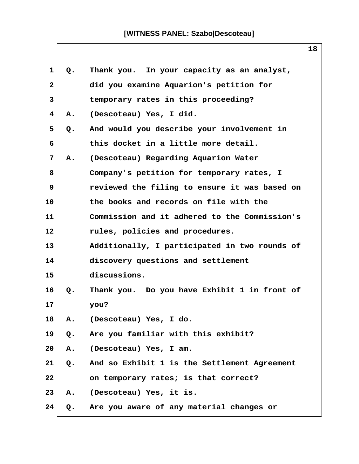| 1              | Q.    | Thank you. In your capacity as an analyst,    |
|----------------|-------|-----------------------------------------------|
| $\mathbf{2}$   |       | did you examine Aquarion's petition for       |
| 3              |       | temporary rates in this proceeding?           |
| $\overline{4}$ | Α.    | (Descoteau) Yes, I did.                       |
| 5              | Q.    | And would you describe your involvement in    |
| 6              |       | this docket in a little more detail.          |
| 7              | Α.    | (Descoteau) Regarding Aquarion Water          |
| 8              |       | Company's petition for temporary rates, I     |
| 9              |       | reviewed the filing to ensure it was based on |
| 10             |       | the books and records on file with the        |
| 11             |       | Commission and it adhered to the Commission's |
| 12             |       | rules, policies and procedures.               |
| 13             |       | Additionally, I participated in two rounds of |
| 14             |       | discovery questions and settlement            |
| 15             |       | discussions.                                  |
| 16             | Q.    | Thank you. Do you have Exhibit 1 in front of  |
| 17             |       | you?                                          |
| 18             | Α.    | (Descoteau) Yes, I do.                        |
| 19             | $Q$ . | Are you familiar with this exhibit?           |
| 20             | Α.    | (Descoteau) Yes, I am.                        |
| 21             | Q.    | And so Exhibit 1 is the Settlement Agreement  |
| 22             |       | on temporary rates; is that correct?          |
| 23             | А.    | (Descoteau) Yes, it is.                       |
| 24             | Q.    | Are you aware of any material changes or      |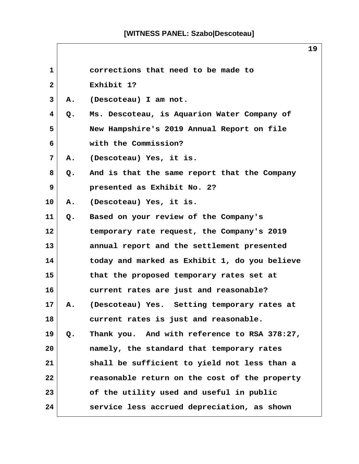$\Box$ 

 $\mathsf{I}$ 

|              |    | ᅩᄀ                                            |  |
|--------------|----|-----------------------------------------------|--|
| $\mathbf{1}$ |    | corrections that need to be made to           |  |
| $\mathbf{2}$ |    | Exhibit 1?                                    |  |
| 3            | Α. | (Descoteau) I am not.                         |  |
| 4            | Q. | Ms. Descoteau, is Aquarion Water Company of   |  |
| 5            |    | New Hampshire's 2019 Annual Report on file    |  |
| 6            |    | with the Commission?                          |  |
| 7            | Α. | (Descoteau) Yes, it is.                       |  |
| 8            | Q. | And is that the same report that the Company  |  |
| 9            |    | presented as Exhibit No. 2?                   |  |
| 10           | Α. | (Descoteau) Yes, it is.                       |  |
| 11           | Q. | Based on your review of the Company's         |  |
| 12           |    | temporary rate request, the Company's 2019    |  |
| 13           |    | annual report and the settlement presented    |  |
| 14           |    | today and marked as Exhibit 1, do you believe |  |
| 15           |    | that the proposed temporary rates set at      |  |
| 16           |    | current rates are just and reasonable?        |  |
| 17           | Α. | (Descoteau) Yes. Setting temporary rates at   |  |
| 18           |    | current rates is just and reasonable.         |  |
| 19           | Q. | Thank you. And with reference to RSA 378:27,  |  |
| 20           |    | namely, the standard that temporary rates     |  |
| 21           |    | shall be sufficient to yield not less than a  |  |
| 22           |    | reasonable return on the cost of the property |  |
| 23           |    | of the utility used and useful in public      |  |
| 24           |    | service less accrued depreciation, as shown   |  |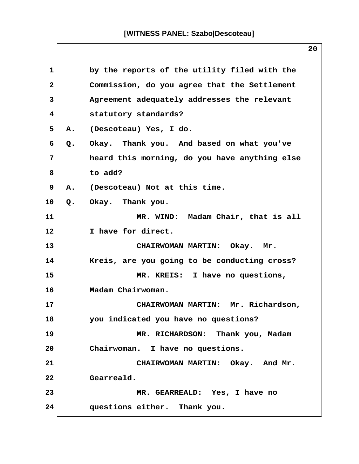| 1              |       | by the reports of the utility filed with the  |
|----------------|-------|-----------------------------------------------|
| $\overline{a}$ |       | Commission, do you agree that the Settlement  |
| 3              |       | Agreement adequately addresses the relevant   |
| 4              |       | statutory standards?                          |
| 5              | Α.    | (Descoteau) Yes, I do.                        |
| 6              | Q.    | Okay. Thank you. And based on what you've     |
| 7              |       | heard this morning, do you have anything else |
| 8              |       | to add?                                       |
| 9              | Α.    | (Descoteau) Not at this time.                 |
| 10             | $Q$ . | Okay. Thank you.                              |
| 11             |       | MR. WIND: Madam Chair, that is all            |
| 12             |       | I have for direct.                            |
| 13             |       | CHAIRWOMAN MARTIN: Okay. Mr.                  |
| 14             |       | Kreis, are you going to be conducting cross?  |
| 15             |       | MR. KREIS: I have no questions,               |
| 16             |       | Madam Chairwoman.                             |
| 17             |       | CHAIRWOMAN MARTIN: Mr. Richardson,            |
| 18             |       | you indicated you have no questions?          |
| 19             |       | MR. RICHARDSON: Thank you, Madam              |
| 20             |       | Chairwoman. I have no questions.              |
| 21             |       | CHAIRWOMAN MARTIN: Okay. And Mr.              |
| 22             |       | Gearreald.                                    |
| 23             |       | MR. GEARREALD: Yes, I have no                 |
| 24             |       | questions either. Thank you.                  |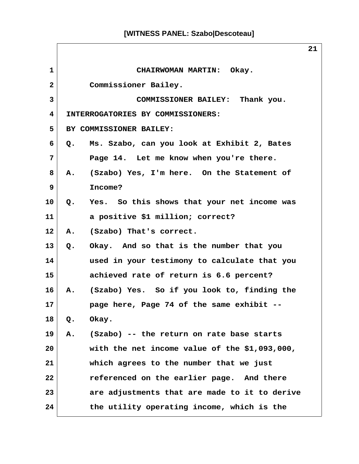$\sqrt{2}$ 

|                 | 21                                                        |
|-----------------|-----------------------------------------------------------|
| $\mathbf{1}$    | CHAIRWOMAN MARTIN: Okay.                                  |
| $\mathbf{2}$    | Commissioner Bailey.                                      |
| 3               | COMMISSIONER BAILEY: Thank you.                           |
| 4               | INTERROGATORIES BY COMMISSIONERS:                         |
| 5               | BY COMMISSIONER BAILEY:                                   |
| 6               | Ms. Szabo, can you look at Exhibit 2, Bates<br>Q.         |
| 7               | Page 14. Let me know when you're there.                   |
| 8               | (Szabo) Yes, I'm here. On the Statement of<br>${\bf A}$ . |
| 9               | Income?                                                   |
| 10              | Q. Yes. So this shows that your net income was            |
| 11              | a positive \$1 million; correct?                          |
| 12 <sub>2</sub> | A. (Szabo) That's correct.                                |
| 13 <sup>2</sup> | Q. Okay. And so that is the number that you               |
| 14              | used in your testimony to calculate that you              |
| 15              | achieved rate of return is 6.6 percent?                   |
| 16              | (Szabo) Yes. So if you look to, finding the<br>A.         |
| 17 <sub>2</sub> | page here, Page 74 of the same exhibit --                 |
| 18              | Okay.<br>$Q$ .                                            |
| 19              | (Szabo) -- the return on rate base starts<br>А.           |
| 20              | with the net income value of the \$1,093,000,             |
| 21              | which agrees to the number that we just                   |
| 22              | referenced on the earlier page. And there                 |
| 23              | are adjustments that are made to it to derive             |
| 24              | the utility operating income, which is the                |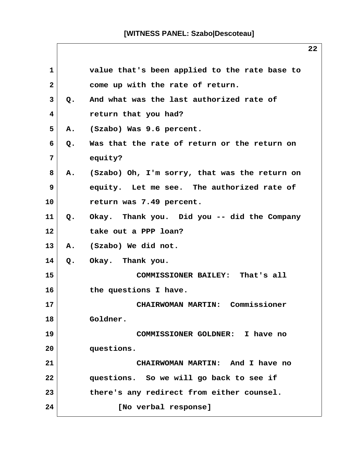| 1  |               | value that's been applied to the rate base to    |
|----|---------------|--------------------------------------------------|
| 2  |               | come up with the rate of return.                 |
| 3  | $Q_{\bullet}$ | And what was the last authorized rate of         |
| 4  |               | return that you had?                             |
| 5  | Α.            | (Szabo) Was 9.6 percent.                         |
| 6  | Q.            | Was that the rate of return or the return on     |
| 7  |               | equity?                                          |
| 8  |               | A. (Szabo) Oh, I'm sorry, that was the return on |
| 9  |               | equity. Let me see. The authorized rate of       |
| 10 |               | return was 7.49 percent.                         |
| 11 | $Q_{\bullet}$ | Okay. Thank you. Did you -- did the Company      |
| 12 |               | take out a PPP loan?                             |
| 13 |               | A. (Szabo) We did not.                           |
| 14 |               | Q. Okay. Thank you.                              |
| 15 |               | COMMISSIONER BAILEY: That's all                  |
| 16 |               | the questions I have.                            |
| 17 |               | CHAIRWOMAN MARTIN: Commissioner                  |
| 18 |               | Goldner.                                         |
| 19 |               | COMMISSIONER GOLDNER: I have no                  |
| 20 |               | questions.                                       |
| 21 |               | CHAIRWOMAN MARTIN: And I have no                 |
| 22 |               | questions. So we will go back to see if          |
| 23 |               | there's any redirect from either counsel.        |
| 24 |               | [No verbal response]                             |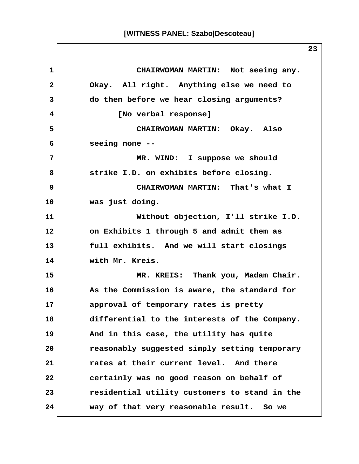**1 CHAIRWOMAN MARTIN: Not seeing any. 2 Okay. All right. Anything else we need to 3 do then before we hear closing arguments? 4 [No verbal response] 5 CHAIRWOMAN MARTIN: Okay. Also 6 seeing none -- 7 MR. WIND: I suppose we should 8 strike I.D. on exhibits before closing. 9 CHAIRWOMAN MARTIN: That's what I 10 was just doing. 11 Without objection, I'll strike I.D. 12 on Exhibits 1 through 5 and admit them as 13 full exhibits. And we will start closings 14 with Mr. Kreis. 15 MR. KREIS: Thank you, Madam Chair. 16 As the Commission is aware, the standard for 17 approval of temporary rates is pretty 18 differential to the interests of the Company. 19 And in this case, the utility has quite 20 reasonably suggested simply setting temporary 21 rates at their current level. And there 22 certainly was no good reason on behalf of 23 residential utility customers to stand in the 24 way of that very reasonable result. So we**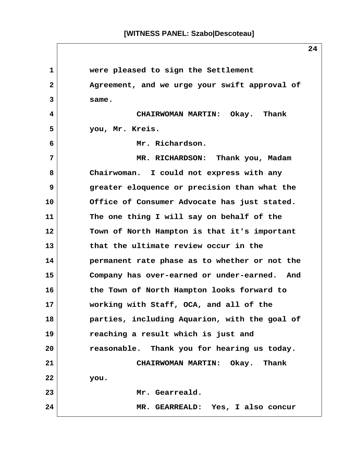**1 were pleased to sign the Settlement 2 Agreement, and we urge your swift approval of 3 same. 4 CHAIRWOMAN MARTIN: Okay. Thank 5 you, Mr. Kreis. 6 Mr. Richardson. 7 MR. RICHARDSON: Thank you, Madam 8 Chairwoman. I could not express with any 9 greater eloquence or precision than what the 10 Office of Consumer Advocate has just stated. 11 The one thing I will say on behalf of the 12 Town of North Hampton is that it's important 13 that the ultimate review occur in the 14 permanent rate phase as to whether or not the 15 Company has over-earned or under-earned. And 16 the Town of North Hampton looks forward to 17 working with Staff, OCA, and all of the 18 parties, including Aquarion, with the goal of 19 reaching a result which is just and 20 reasonable. Thank you for hearing us today. 21 CHAIRWOMAN MARTIN: Okay. Thank 22 you. 23 Mr. Gearreald. 24 MR. GEARREALD: Yes, I also concur**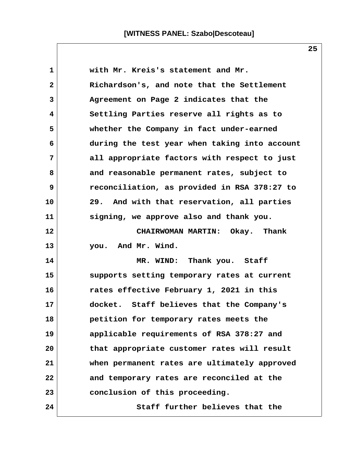| 1            | with Mr. Kreis's statement and Mr.            |
|--------------|-----------------------------------------------|
| $\mathbf{2}$ | Richardson's, and note that the Settlement    |
| 3            | Agreement on Page 2 indicates that the        |
| 4            | Settling Parties reserve all rights as to     |
| 5            | whether the Company in fact under-earned      |
| 6            | during the test year when taking into account |
| 7            | all appropriate factors with respect to just  |
| 8            | and reasonable permanent rates, subject to    |
| 9            | reconciliation, as provided in RSA 378:27 to  |
| 10           | 29. And with that reservation, all parties    |
| 11           | signing, we approve also and thank you.       |
| 12           | CHAIRWOMAN MARTIN: Okay. Thank                |
| 13           | you. And Mr. Wind.                            |
| 14           | MR. WIND: Thank you. Staff                    |
| 15           | supports setting temporary rates at current   |
| 16           | rates effective February 1, 2021 in this      |
| 17           | docket. Staff believes that the Company's     |
| 18           | petition for temporary rates meets the        |
| 19           | applicable requirements of RSA 378:27 and     |
| 20           | that appropriate customer rates will result   |
| 21           | when permanent rates are ultimately approved  |
| 22           | and temporary rates are reconciled at the     |
| 23           | conclusion of this proceeding.                |
| 24           | Staff further believes that the               |

 $\mathsf{l}$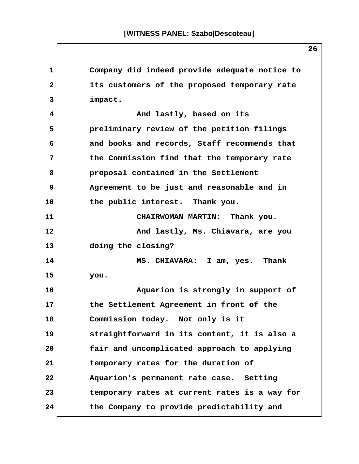**1 Company did indeed provide adequate notice to 2 its customers of the proposed temporary rate 3 impact. 4 And lastly, based on its 5 preliminary review of the petition filings 6 and books and records, Staff recommends that 7 the Commission find that the temporary rate 8 proposal contained in the Settlement 9 Agreement to be just and reasonable and in 10 the public interest. Thank you. 11 CHAIRWOMAN MARTIN: Thank you. 12 And lastly, Ms. Chiavara, are you 13 doing the closing? 14 MS. CHIAVARA: I am, yes. Thank 15 you. 16 Aquarion is strongly in support of 17 the Settlement Agreement in front of the 18 Commission today. Not only is it 19 straightforward in its content, it is also a 20 fair and uncomplicated approach to applying 21 temporary rates for the duration of 22 Aquarion's permanent rate case. Setting 23 temporary rates at current rates is a way for 24 the Company to provide predictability and**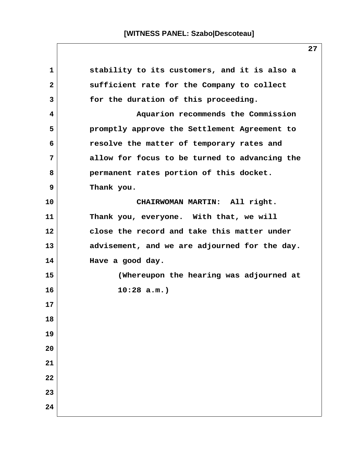| 1            | stability to its customers, and it is also a  |
|--------------|-----------------------------------------------|
| $\mathbf{2}$ | sufficient rate for the Company to collect    |
| 3            | for the duration of this proceeding.          |
| 4            | Aquarion recommends the Commission            |
| 5            | promptly approve the Settlement Agreement to  |
| 6            | resolve the matter of temporary rates and     |
| 7            | allow for focus to be turned to advancing the |
| 8            | permanent rates portion of this docket.       |
| 9            | Thank you.                                    |
| 10           | CHAIRWOMAN MARTIN: All right.                 |
| 11           | Thank you, everyone. With that, we will       |
| 12           | close the record and take this matter under   |
| 13           | advisement, and we are adjourned for the day. |
| 14           | Have a good day.                              |
| 15           | (Whereupon the hearing was adjourned at       |
| 16           | $10:28$ a.m.)                                 |
| 17           |                                               |
| 18           |                                               |
| 19           |                                               |
| 20           |                                               |
| 21           |                                               |
| 22           |                                               |
| 23           |                                               |
| 24           |                                               |

 $\mathsf{l}$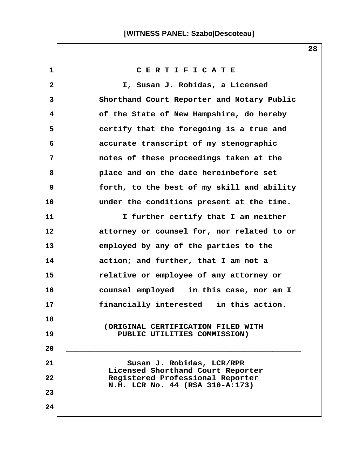**1 C E R T I F I C A T E 2 I, Susan J. Robidas, a Licensed 3 Shorthand Court Reporter and Notary Public 4 of the State of New Hampshire, do hereby 5 certify that the foregoing is a true and 6 accurate transcript of my stenographic 7 notes of these proceedings taken at the 8 place and on the date hereinbefore set 9 forth, to the best of my skill and ability 10 under the conditions present at the time. 11 I further certify that I am neither 12 attorney or counsel for, nor related to or 13 employed by any of the parties to the 14 action; and further, that I am not a 15 relative or employee of any attorney or 16 counsel employed in this case, nor am I 17 financially interested in this action. 18 (ORIGINAL CERTIFICATION FILED WITH 19 PUBLIC UTILITIES COMMISSION) 20 \_\_\_\_\_\_\_\_\_\_\_\_\_\_\_\_\_\_\_\_\_\_\_\_\_\_\_\_\_\_\_\_\_\_\_\_\_\_\_\_\_\_\_\_\_\_\_\_\_\_** 21 Susan J. Robidas, LCR/RPR  **Licensed Shorthand Court Reporter 22 Registered Professional Reporter N.H. LCR No. 44 (RSA 310-A:173) 23 24**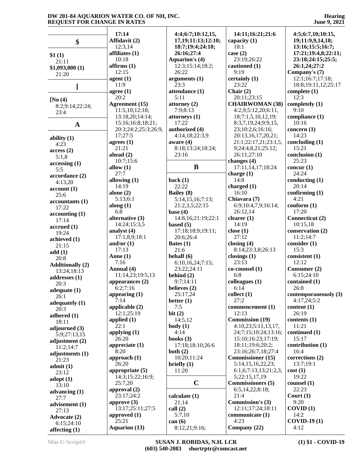**Hearing June 9, 2021**

|                         | 17:14                | 4:4;6:7;10:12,15,     | 14:11;16:21;21:6         | 4:5;6:7,10;10:15,     |
|-------------------------|----------------------|-----------------------|--------------------------|-----------------------|
| \$                      | Affidavit (2)        | 17,19;11:13;12:10;    | capacity $(1)$           | 19;11:9,9,14,18;      |
|                         | 12:3,14              | 18:7;19:4;24:18;      | 18:1                     | 13:16;15:5;16:7;      |
| \$1(1)                  | affiliates (1)       | 26:16;27:4            | case $(2)$               | 17:21;19:4,8;22:11;   |
| 21:11                   | 10:18                | <b>Aquarion's (4)</b> | 23:19;26:22              | 23:18;24:15;25:5;     |
| \$1,093,000(1)          | affirms(1)           | 12:3;15:14;18:2;      | cautioned (1)            | 26:1,24;27:2          |
| 21:20                   | 12:15                | 26:22                 | 9:19                     | Company's (7)         |
|                         | agent(1)             | arguments(1)          | certainly (1)            | 12:1;16:7;17:18;      |
| L                       | 11:9                 | 23:3                  | 23:22                    | 18:8;19:11,12;25:17   |
|                         | agree $(1)$          | attendance (1)        | Chair $(2)$              | complete $(1)$        |
| [No(4)]                 | 20:2                 | 5:11                  | 20:11;23:15              | 12:3                  |
| 8:2;9:14;22:24;         | Agreement (15)       | attorney (2)          | <b>CHAIRWOMAN (38)</b>   | completely (1)        |
| 23:4                    | 11:5,10;12:18;       | 7:9;8:13              | 4:2,9;5:12,20;6:11,      | 9:10                  |
|                         | 13:18,20;14:14;      | attorneys (1)         | 18;7:1,5,10,12,19;       | compliance (1)        |
| $\mathbf A$             | 15:16:16:8;18:21;    | 17:22                 | 8:3,7,19,24;9:9,15,      | 10:16                 |
|                         | 20:3;24:2;25:3;26:9, | authorized (4)        | 23;10:2,6;16:16;         | concern $(1)$         |
| ability $(1)$           | 17;27:5              | 4:14,18;22:3,9        | 20:13,16,17,20,21;       | 14:23                 |
| 4:23                    | agrees $(1)$         | aware $(4)$           | 21:1;22:17,21;23:1,5,    | concluding (1)        |
| access(2)               | 21:21                | 8:18;13:24;18:24;     | 9;24:4,8,21;25:12;       | 15:21                 |
| 5:1,8                   | ahead $(2)$          | 23:16                 | 26:11;27:10              | conclusion (1)        |
| accessing(1)            | 10:7;15:6            |                       | changes (4)              | 25:23                 |
| 5:5                     | allow $(1)$          | $\bf{B}$              | 17:11,14,17;18:24        | concur $(1)$          |
| accordance (2)          | 27:7                 |                       | charge $(1)$             | 24:24                 |
| 4:13,20                 | allowing $(1)$       | back $(1)$            | 14:8                     | conducting $(1)$      |
| account(1)              | 14:19                | 22:22                 | charged $(1)$            | 20:14                 |
| 25:6                    | alone $(2)$          | <b>Bailey</b> (8)     | 16:10                    | confirming $(1)$      |
| accountants(1)          | 5:13;6:1             | 5:14,15,16;7:13;      | Chiavara (7)             | 4:21                  |
| 17:22                   | along $(1)$          | 21:2,3,5;22:15        | 6:9;10:4,7,9;16:14;      | conform(1)            |
|                         | 6:8                  | base $(4)$            | 26:12,14                 | 17:20                 |
| accounting(1)           | alternative (3)      | 14:8,16;21:19;22:1    | clearer $(1)$            | Connecticut (2)       |
| 17:14                   | 14:24;15:3,5         | based $(5)$           | 14:19                    | 10:15,18              |
| accrued(1)              | analyst (4)          | 17:18;18:9;19:11;     | close $(1)$              | conservation (2)      |
| 19:24                   | 17:1,8,9;18:1        | 20:6;26:4             | 27:12                    | 11:2;14:7             |
| achieved (1)            | and/or $(1)$         | Bates $(1)$           | closing $(4)$            | consider (1)          |
| 21:15                   | 17:13                | 21:6                  | 8:14;23:3,8;26:13        | 15:3                  |
| add(1)                  | Anne $(1)$           | behalf $(6)$          | closings $(1)$           | consistent(1)         |
| 20:8                    | 7:16                 | 6:10,16,24;7:15;      | 23:13                    | 12:12                 |
| <b>Additionally (2)</b> | Annual (4)           | 23:22;24:11           | $co$ -counsel $(1)$      | Consumer (2)          |
| 13:24;18:13             | 11:14,23;19:5,13     | behind $(2)$          | 6:8                      | 6:15;24:10            |
| addresses $(1)$         | appearances $(2)$    | 9:7;14:11             | colleagues (1)           | contained (1)         |
| 20:3                    | 6:2;7:16             | believes (2)          | 6:14                     | 26:8                  |
| adequate $(1)$          | appearing $(1)$      | 25:17,24              | collect(1)               | contemporaneously (3) |
| 26:1                    | 7:14                 | better $(1)$          | 27:2                     | 4:17,24:5:2           |
| adequately $(1)$        | applicable (2)       | 7:5                   | commencement (1)         | content(1)            |
| 20:3                    | 12:1;25:19           | bit(2)                | 12:13                    | 26:19                 |
| adhered $(1)$           | applied $(1)$        | 14:5,12               | <b>Commission (19)</b>   | contents (1)          |
| 18:11                   | 22:1                 | body(1)               | 4:10,23;5:11,13,17,      | 11:21                 |
| adjourned (3)           | applying $(1)$       | 4:14                  | 24;7:15;10:24;13:16;     | continued (1)         |
| 5:9:27:13.15            | 26:20                | books $(3)$           | 15:10;16:23;17:19;       | 15:17                 |
| adjustment $(2)$        | appreciate $(1)$     | 17:18:18:10:26:6      | 18:11;19:6;20:2;         | contribution (1)      |
| 11:2:14:7               | 8:20                 | both $(2)$            | 23:16;26:7,18;27:4       | 16:4                  |
| adjustments (1)         | approach $(1)$       | 10:20;11:24           | <b>Commissioner</b> (15) | corrections (2)       |
| 21:23                   | 26:20                | briefly $(1)$         | 5:14,15,16,22,23;        | 13:7;19:1             |
| admit(1)                | appropriate $(5)$    | 11:20                 | 6:1,6;7:13,13;21:2,3,    | cost(1)               |
| 23:12                   | 14:3;15:22;16:9;     |                       | 5;22:15,17,19            | 19:22                 |
| $\text{adopt}(1)$       | 25:7,20              | $\mathbf C$           | <b>Commissioners (5)</b> | counsel (1)           |
| 13:10                   | approval (2)         |                       | 6:5,14,22;8:18;          | 22:23                 |
| advancing $(1)$         | 23:17;24:2           | calculate $(1)$       | 21:4                     | Court $(1)$           |
| 27:7                    | approve $(3)$        | 21:14                 | <b>Commission's (3)</b>  | 9:20                  |
| advisement (1)          | 13:17;25:11;27:5     |                       | 12:11;17:24;18:11        | COVID(1)              |
| 27:13                   | approved $(1)$       | call $(2)$            | communicate (1)          | 14:2                  |
| Advocate (2)            | 25:21                | 5:7,10                | 4:23                     | <b>COVID-19 (1)</b>   |
| 6:15;24:10              |                      | can $(6)$             |                          |                       |
| affecting $(1)$         | <b>Aquarion (13)</b> | 8:12,21;9:16;         | Company (22)             | 4:12                  |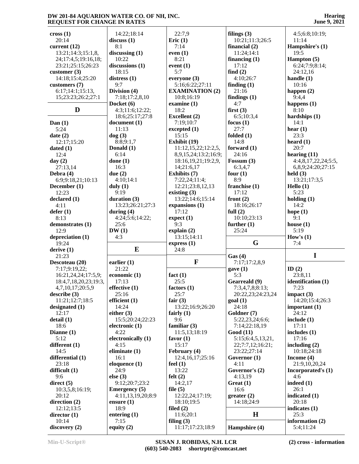**Hearing June 9, 2021**

| $\csc(1)$             | 14:22;18:14           | 22:7,9                           | filings $(3)$        | 4:5;6:8;10:19;               |
|-----------------------|-----------------------|----------------------------------|----------------------|------------------------------|
| 20:14                 | discuss(1)            | Eric $(1)$                       | 10:21;11:3;26:5      | 11:14                        |
| current $(12)$        | 8:1                   | 7:14                             | financial $(2)$      | Hampshire's (1)              |
|                       |                       |                                  |                      |                              |
| 13:21;14:3;15:1,8,    | discussing $(1)$      | even $(1)$                       | 11:24;14:1           | 19:5                         |
| 24;17:4,5;19:16,18;   | 10:22                 | 8:21                             | financing $(1)$      | Hampton (5)                  |
| 23:21;25:15;26:23     | discussions (1)       | event $(1)$                      | 17:12                | 6:24;7:9;8:14;               |
| customer $(3)$        | 18:15                 | 5:7                              | find $(2)$           | 24:12,16                     |
| 14:18;15:4;25:20      | distress $(1)$        | everyone (3)                     | 4:10;26:7            | handle $(1)$                 |
| customers (7)         | 9:7                   | 5:16;6:22;27:11                  | finding $(1)$        | 10:16                        |
| 6:17;14:1;15:13,      | Division (4)          | <b>EXAMINATION (2)</b>           | 21:16                | happen $(2)$                 |
| 15;23:23;26:2;27:1    | 7:18;17:2,8,10        | 10:8;16:19                       | findings $(1)$       | 9:4,4                        |
|                       | Docket (6)            | examine $(1)$                    | 4:7                  | happens $(1)$                |
| D                     | 4:3;11:6;12:22;       | 18:2                             | first(3)             | 8:10                         |
|                       | 18:6;25:17;27:8       | Excellent (2)                    | 6:5;10:3,4           | hardships $(1)$              |
| Dan $(1)$             | document(1)           | 7:19;10:7                        | focus $(1)$          | 14:1                         |
|                       | 11:13                 |                                  | 27:7                 |                              |
| 5:24                  |                       | excepted(1)                      |                      | hear $(1)$                   |
| date $(2)$            | $\log(3)$             | 15:15                            | folded $(1)$         | 23:3                         |
| 12:17;15:20           | 8:8;9:1,7             | Exhibit (19)                     | 14:8                 | heard $(1)$                  |
| dated $(1)$           | Donald (1)            | 11:12,15,22;12:2,5,              | forward $(1)$        | 20:7                         |
| 12:4                  | 6:14                  | 8,9,15,24;13:2;16:9;             | 24:16                | hearing $(11)$               |
| day $(2)$             | done $(1)$            | 18:16,19,21;19:2,9,              | Fossum $(3)$         | 4:4,8,17,22,24;5:5,          |
| 27:13,14              | 16:3                  | 14;21:6,17                       | 6:3,4,7              | 6,8,9;24:20;27:15            |
| Debra $(4)$           | due $(2)$             | Exhibits (7)                     | four $(1)$           | held $(3)$                   |
| 6:9:9:18,21:10:13     | 4:10;14:1             | 7:22,24;11:4;                    | 8:9                  | 13:21;17:3,5                 |
| December (1)          | duly $(1)$            | 12:21;23:8,12,13                 | franchise (1)        | Hello (1)                    |
| 12:23                 | 9:19                  | existing $(3)$                   | 17:12                | 5:23                         |
| declared(1)           | duration $(3)$        | 13:22;14:6;15:14                 | front $(2)$          | holding $(1)$                |
|                       |                       |                                  |                      |                              |
| 4:11                  | 13:23;26:21;27:3      | expansions (1)                   | 18:16;26:17          | 14:2                         |
| defer(1)              | during $(4)$          | 17:12                            | full $(2)$           | hope $(1)$                   |
| 8:13                  | 4:24;5:6;14:22;       | expect(1)                        | 10:10;23:13          | 9:1                          |
| demonstrates (1)      | 25:6                  | 9:3                              | further $(1)$        | house $(1)$                  |
|                       |                       |                                  |                      |                              |
| 12:9                  | DW(1)                 | explain $(2)$                    | 25:24                | 5:19                         |
| depreciation (1)      | 4:3                   | 13:15;14:11                      |                      | How's $(1)$                  |
| 19:24                 |                       | express (1)                      | G                    | 7:4                          |
| derive $(1)$          | $\bf{E}$              | 24:8                             |                      |                              |
| 21:23                 |                       |                                  | Gas(4)               | $\mathbf I$                  |
| Descoteau (20)        | earlier $(1)$         | $\mathbf F$                      | 7:17:17:2,8,9        |                              |
| 7:17;9:19,22;         | 21:22                 |                                  |                      | ID $(2)$                     |
|                       |                       |                                  | gave(1)              |                              |
| 16:21,24,24;17:5,9;   | economic (1)          | fact $(1)$                       | 5:3                  | 23:8,11                      |
| 18:4,7,18,20,23;19:3, | 17:13                 | 25:5                             | Gearreald (9)        | identification (1)           |
| 4,7,10,17;20:5,9      | effective $(1)$       | factors (1)                      | 7:3,4,7,8;8:13;      | 7:23                         |
| describe(3)           | 25:16                 | 25:7                             | 20:22,23;24:23,24    | impact $(3)$                 |
| 11:21;12:7;18:5       | efficient (1)         | fair $(3)$                       | goal(1)              | 14:20;15:4;26:3              |
| designated (1)        | 14:24                 | 13:22;16:9;26:20                 | 24:18                | important $(1)$              |
| 12:17                 | either $(3)$          | fairly $(1)$                     | Goldner (7)          | 24:12                        |
| delta(1)              | 15:5;20:24;22:23      | 9:6                              | 5:22,23,24;6:6;      | include $(1)$                |
| 18:6                  | electronic (1)        | familiar $(3)$                   | 7:14;22:18,19        | 17:11                        |
| Dianne $(1)$          | 4:22                  | 11:5,13:18:19                    | <b>Good</b> (11)     | includes $(1)$               |
| 5:12                  | electronically (1)    | favor $(1)$                      | 5:15;6:4,5,13,21,    | 17:16                        |
| different (1)         | 4:15                  | 15:17                            | 22;7:7,12;16:21;     | including $(2)$              |
| 14:5                  | eliminate $(1)$       | February (4)                     | 23:22;27:14          | 10:18;24:18                  |
| differential (1)      | 16:1                  | 12:4,16,17;25:16                 |                      | Income $(4)$                 |
| 23:18                 |                       | feel $(1)$                       | Governor (1)<br>4:11 | 21:9,10,20,24                |
|                       | eloquence (1)<br>24:9 |                                  |                      |                              |
| difficult $(1)$       |                       | 13:22                            | Governor's (2)       | Incorporated's (1)           |
| 9:6                   | else $(3)$            | felt $(2)$                       | 4:13,19              | 4:6                          |
| direct $(5)$          | 9:12;20:7;23:2        | 14:2,17                          | Great $(1)$          | indeed $(1)$                 |
| 10:3,5,8;16:19;       | <b>Emergency</b> (5)  | file $(5)$                       | 16:6                 | 26:1                         |
| 20:12                 | 4:11,13,19,20;8:9     | 12:22,24;17:19;                  | greater (2)          | indicated (1)                |
| direction (2)         | ensure $(1)$          | 18:10;19:5                       | 14:18;24:9           | 20:18                        |
| 12:12;13:5            | 18:9                  | filed $(2)$                      |                      | indicates $(1)$              |
| director $(1)$        | entering $(1)$        | 11:6;20:1                        | $\mathbf H$          | 25:3                         |
| 10:14<br>discovery(2) | 7:15<br>equity $(2)$  | filing $(3)$<br>11:17;17:23;18:9 | Hampshire (4)        | information (2)<br>5:4;11:24 |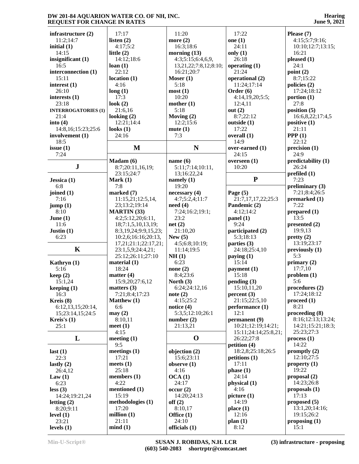|                                 | 17:17                | 11:20                 | 17:22                |                                        |
|---------------------------------|----------------------|-----------------------|----------------------|----------------------------------------|
| infrastructure (2)<br>11:2;14:7 | listen $(2)$         | more $(2)$            | one $(1)$            | Please $(7)$<br>4:15;5:7;9:16;         |
| initial $(1)$                   | 4:17;5:2             | 16:3;18:6             | 24:11                | 10:10;12:7;13:15;                      |
| 14:15                           | little $(2)$         | morning $(13)$        | only $(1)$           | 16:21                                  |
| insignificant (1)               | 14:12:18:6           | 4:3;5:15;6:4,6,9,     | 26:18                | pleased $(1)$                          |
| 16:5                            | loan(1)              | 13,21,22;7:8,12;8:10; | operating $(1)$      | 24:1                                   |
| interconnection (1)             | 22:12                | 16:21;20:7            | 21:24                | point (2)                              |
| 15:11                           | location(1)          | Moser $(1)$           | operational (2)      | 8:7;15:22                              |
| interest $(1)$                  | 4:16                 | 5:18                  | 11:24;17:14          | policies (2)                           |
| 26:10                           | long(1)              | most(1)               | Order $(6)$          | 17:24;18:12                            |
| interests $(1)$                 | 17:3                 | 10:20                 | 4:14,19,20;5:5;      | portion $(1)$                          |
| 23:18                           | look $(2)$           | mother $(1)$          | 12:4,11              | 27:8                                   |
| <b>INTERROGATORIES (1)</b>      | 21:6,16              | 5:18                  | out $(2)$            | position $(5)$                         |
| 21:4                            | looking $(2)$        | Moving $(2)$          | 8:7;22:12            | 16:6,8,22;17:4,5                       |
| into $(4)$                      | 12:21;14:4           | 12:2;15:6             | outside $(1)$        | positive $(1)$                         |
| 14:8,16;15:23;25:6              | looks $(1)$          | mute(1)               | 17:22                | 21:11                                  |
| involvement (1)                 | 24:16                | 7:3                   | overall (1)          | PPP(1)                                 |
| 18:5                            |                      |                       | 14:9                 | 22:12                                  |
| issue $(1)$                     | M                    | N                     | over-earned (1)      | precision(1)                           |
| 7:24                            |                      |                       | 24:15                | 24:9                                   |
|                                 | Madam (6)            | name $(6)$            | overseen (1)         | predictability (1)                     |
| ${\bf J}$                       | 8:7;20:11,16,19;     | 5:11;7:14;10:11,      | 10:20                | 26:24                                  |
|                                 | 23:15;24:7           | 13;16:22,24           |                      | prefiled $(1)$                         |
| Jessica $(1)$                   | Mark $(1)$           | namely $(1)$          | ${\bf P}$            | 7:23                                   |
| 6:8                             | 7:8                  | 19:20                 |                      | preliminary $(3)$                      |
| joined $(1)$                    | marked $(7)$         | necessary(4)          | Page $(5)$           | 7:21;8:4;26:5                          |
| 7:16                            | 11:15,21;12:5,14,    | 4:7;5:2,4;11:7        | 21:7,17,17,22;25:3   | premarked (1)                          |
| jump(1)                         | 23;13:2;19:14        | need(4)               | Pandemic (2)         | 7:22                                   |
| 8:10                            | <b>MARTIN</b> (33)   | 7:24;16:2;19:1;       | 4:12;14:2            | prepared $(1)$                         |
| June $(1)$                      | 4:2;5:12,20;6:11,    | 23:2                  | panel (1)            | 13:5                                   |
| 11:6                            | 18;7:1,5,10,13,19;   | net(2)                | 9:24                 | presented (2)                          |
| Justin $(1)$                    | 8:3,19,24;9:9,15,23; | 21:10,20              | participated (2)     | 19:9,13                                |
| 6:23                            | 10:2,6;16:16;20:13,  | New $(5)$             | 5:3;18:13            | pretty(2)                              |
|                                 | 17,21;21:1;22:17,21; | 4:5;6:8;10:19;        | parties (3)          | 13:19;23:17                            |
| $\mathbf K$                     | 23:1,5,9;24:4,21;    | 11:14;19:5            | 24:18;25:4,10        | previously (1)                         |
|                                 | 25:12;26:11;27:10    | NH(1)                 | paying $(1)$         | 5:3                                    |
| Kathryn (1)                     | material $(1)$       | 6:23                  | 15:14                | primary $(2)$                          |
| 5:16                            | 18:24                | none $(2)$            | payment (1)          | 17:7,10                                |
| keep(2)                         | matter $(4)$         | 8:4;23:6              | 15:18                | problem(1)                             |
| 15:1,24                         | 15:9,20;27:6,12      | North $(3)$           | pending(3)           | 5:6                                    |
| keeping (1)                     | matters $(3)$        | 6:24;24:12,16         | 15:10,11,20          | procedures (2)                         |
| 16:3                            | 7:21;8:4;17:23       | note $(2)$            | percent(3)           | 17:24;18:12                            |
| Kreis (8)                       | Matthew (1)          | 4:15;25:2             | 21:15;22:5,10        | $\boldsymbol{proceed}\boldsymbol{(1)}$ |
| 6:12,13,15;20:14,               | 6:6                  | notice $(4)$          | performance (1)      | 8:21                                   |
| 15;23:14,15;24:5                | may(2)               | 5:3,5;12:10;26:1      | 12:1                 | proceeding (8)                         |
| Kreis's $(1)$                   | 8:10,11              | number $(2)$          | permanent (9)        | 8:16;12:13;13:24;                      |
| 25:1                            | meet $(1)$           | 21:13,21              | 10:21;12:19;14:21;   | 14:21;15:21;18:3;                      |
|                                 | 4:15                 |                       | 15:11;24:14;25:8,21; | 25:23;27:3                             |
| L                               | meeting $(1)$        | $\mathbf 0$           | 26:22;27:8           | process(1)                             |
|                                 | 9:5                  |                       | petition $(4)$       | 14:22                                  |
| last $(1)$                      | meetings $(1)$       | objection (2)         | 18:2,8;25:18;26:5    | promptly $(2)$                         |
| 22:3                            | 17:21                | 15:6;23:11            | petitions(1)         | 12:10;27:5                             |
| lastly $(2)$                    | meets $(1)$          | observe $(1)$         | 17:11                | property $(1)$                         |
| 26:4,12                         | 25:18                | 4:16                  | phase(1)             | 19:22                                  |
| Law $(1)$                       | members $(1)$        | OCA(1)                | 24:14                | proposal $(2)$                         |
| 6:23                            | 4:22                 | 24:17                 | physical (1)         | 14:23;26:8                             |
| less(3)                         | mentioned (1)        | occur(2)              | 4:16                 | proposals $(1)$                        |
| 14:24;19:21,24                  | 15:19                | 14:20;24:13           | picture(1)           | 17:13                                  |
| letting $(2)$                   | methodologies (1)    | off(2)                | 14:19                | proposed (5)                           |
| 8:20;9:11                       | 17:20                | 8:10,17               | place(1)             | 13:1,20;14:16;                         |
| level $(1)$                     | million $(1)$        | Office $(1)$          | 12:16                | 19:15;26:2                             |
| 23:21                           | 21:11                | 24:10                 | plan(1)              | proposing $(1)$                        |
| levels $(1)$                    | mind(1)              | officials (1)         | 8:12                 | 15:1                                   |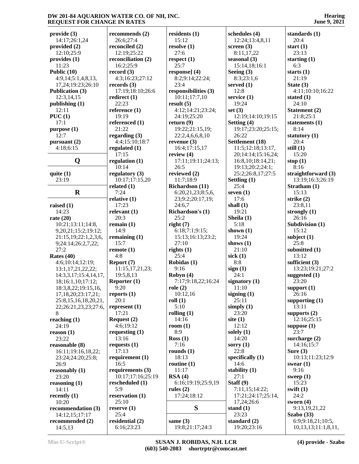**provide (3)** 14:17;26:1,24 **provided (2)** 12:10;25:9 **provides (1)** 11:23 **Public (10)** 4:9,14;5:1,4,8,13, 17,24;19:23;26:10 **Publication (3)** 12:3,14,15 **publishing (1)** 12:11 **PUC (1)** 17:1 **purpose (1)** 12:7 **pursuant (2)** 4:18;6:15 **Q regulation (1) quite (1)** 23:19 **R raised (1)** 14:23 **rate (20)** 10:21;13:11;14:8, 9,20,21;15:2;19:12; 21:15,19;22:1,2,3,6, 9;24:14;26:2,7,22; 27:2 **Rates (40)** 4:6;10:14;12:19; 13:1,17,21,22,22; 14:3,3,17;15:4,14,17, 18;16:1,10;17:12; 18:3,8,22;19:15,16, 17,18,20;23:17,21; 25:8,15,16,18,20,21, 22;26:21,23,23;27:6, 8 **reaching (1)** 24:19 **reason (1)** 23:22 **reasonable (8)** 16:11;19:16,18,22; 23:24;24:20;25:8; 26:9 **reasonably (1)** 23:20 **reasoning (1)** 14:11 **recently (1)** 10:20 **recommendation (3)** 14:12,15;17:17 **recommended (2)** 14:5,13 6:16;23:23

**recommends (2)** 26:6;27:4 **reconciled (2)** 12:19;25:22 **reconciliation (2)** 16:2;25:9 **record (3)** 4:3;16:23;27:12 **records (3)** 17:19;18:10;26:6 **redirect (1)** 22:23 **reference (1)** 19:19 **referenced (1)** 21:22 **regarding (3)** 4:4;15:10;18:7 **regulated (1)** 17:15 10:14 **regulatory (3)** 10:17;17:15,20 **related (1)** 7:24 **relative (1)** 17:23 **relevant (1)** 20:3 **remain (1)** 14:9 **remaining (1)** 15:7 **remote (1)** 4:8 **Report (7)** 11:15,17,21,23; 19:5,8,13 **Reporter (1)** 9:20 **reports (1)** 20:1 **represent (1)** 17:21 **Request (2)** 4:6;19:12 **requesting (1)** 13:16 **requests (1)** 17:13 **requirement (1)** 16:5 **requirements (3)** 10:17;17:16;25:19 **rescheduled (1)** 5:9 **reservation (1)** 25:10 **reserve (1)** 25:4 **residential (2)**

**residents (1)** 15:12 **resolve (1)** 27:6 **respect (1)** 25:7 **response] (4)** 8:2;9:14;22:24; 23:4 **responsibilities (3)** 10:11;17:7,10 **result (5)** 4:12;14:21;23:24; 24:19;25:20 **return (9)** 19:22;21:15,19; 22:2,4,6,6,8,10 **revenue (3)** 16:4;17:15,17 **review (4)** 17:11;19:11;24:13; 26:5 **reviewed (2)** 11:7;18:9 **Richardson (11)** 6:20,21,23;8:5,6, 23;9:2;20:17,19; 24:6,7 **Richardson's (1)** 25:2 **right (7)** 6:18;7:1;9:15; 15:13;16:13;23:2; 27:10 **rights (1)** 25:4 **Robidas (1)** 9:16 **Robyn (4)** 7:17;9:18,22;16:24 **role (2)** 10:12,16 **roll (1)** 5:10 **rolling (1)** 14:16 **room (1)** 8:9 **Ross (1)** 7:16 **rounds (1)** 18:13 **routine (1)** 11:17 **RSA (4)** 6:16;19:19;25:9,19 **rules (2)** 17:24;18:12 **S same (3)**

**schedules (4)** 12:24;13:4,8,11 **screen (3)** 8:11,17,22 **seasonal (3)** 15:14,18;16:1 **Seeing (3)** 8:3;23:1,6 **served (1)** 12:8 **service (1)** 19:24 **set (3)** 12:19;14:10;19:15 **Setting (4)** 19:17;23:20;25:15; 26:22 **Settlement (18)** 11:5;12:18;13:17, 20;14:14;15:16,24; 16:8,10;18:14,21; 19:13;20:2;24:1; 25:2;26:8,17;27:5 **Settling (1)** 25:4 **seven (1)** 17:6 **shall (1)** 19:21 **Sheila (1)** 5:18 **shown (1)** 19:24 **shows (1)** 21:10 **sick (1)** 8:8 **sign (1)** 24:1 **signatory (1)** 11:10 **signing (1)** 25:11 **simply (1)** 23:20 **site (1)** 12:12 **solely (1)** 14:20 **sorry (1)** 22:8 **specifically (1)** 14:6 **stability (1)** 27:1 **Staff (9)** 7:11,15;14:22; 17:21;24:17;25:14, 17,24;26:6 **stand (1)** 23:23 **standard (2)** 19:20;23:16

**Hearing June 9, 2021**

**standards (1)** 20:4 **start (1)** 23:13 **starting (1)** 6:3 **starts (1)** 21:19 **State (3)** 4:11;10:10;16:22 **stated (1)** 24:10 **Statement (2)** 21:8;25:1 **statements (1)** 8:14 **statutory (1)** 20:4 **still (1)** 15:20 **stop (1)** 8:16 **straightforward (3)** 13:19;16:3;26:19 **Stratham (1)** 15:13 **strike (2)** 23:8,11 **strongly (1)** 26:16 **Subdivision (1)** 15:12 **subject (1)** 25:8 **submitted (1)** 13:12 **sufficient (3)** 13:23;19:21;27:2 **suggested (1)** 23:20 **support (1)** 26:16 **supporting (1)** 13:11 **supports (2)** 12:16;25:15 **suppose (1)** 23:7 **surcharge (2)** 14:16;15:7 **Sure (3)** 10:13;11:23;12:9 **swear (1)** 9:16 **sweep (1)** 15:23 **swift (1)** 24:2 **sworn (4)** 9:13,19,21,22 **Szabo (33)** 6:9;9:18,21;10:5, 10,13,13;11:1,8,11,

19:8;21:17;24:3